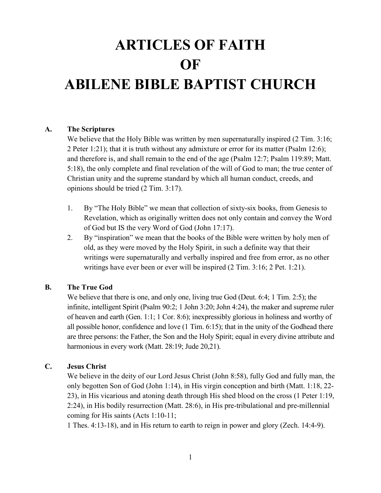# ARTICLES OF FAITH **OF** ABILENE BIBLE BAPTIST CHURCH

## A. The Scriptures

We believe that the Holy Bible was written by men supernaturally inspired (2 Tim. 3:16; 2 Peter 1:21); that it is truth without any admixture or error for its matter (Psalm 12:6); and therefore is, and shall remain to the end of the age (Psalm 12:7; Psalm 119:89; Matt. 5:18), the only complete and final revelation of the will of God to man; the true center of Christian unity and the supreme standard by which all human conduct, creeds, and opinions should be tried (2 Tim. 3:17).

- 1. By "The Holy Bible" we mean that collection of sixty-six books, from Genesis to Revelation, which as originally written does not only contain and convey the Word of God but IS the very Word of God (John 17:17).
- 2. By "inspiration" we mean that the books of the Bible were written by holy men of old, as they were moved by the Holy Spirit, in such a definite way that their writings were supernaturally and verbally inspired and free from error, as no other writings have ever been or ever will be inspired (2 Tim. 3:16; 2 Pet. 1:21).

## B. The True God

We believe that there is one, and only one, living true God (Deut. 6:4; 1 Tim. 2:5); the infinite, intelligent Spirit (Psalm 90:2; 1 John 3:20; John 4:24), the maker and supreme ruler of heaven and earth (Gen. 1:1; 1 Cor. 8:6); inexpressibly glorious in holiness and worthy of all possible honor, confidence and love (1 Tim. 6:15); that in the unity of the Godhead there are three persons: the Father, the Son and the Holy Spirit; equal in every divine attribute and harmonious in every work (Matt. 28:19; Jude 20,21).

#### C. Jesus Christ

 We believe in the deity of our Lord Jesus Christ (John 8:58), fully God and fully man, the only begotten Son of God (John 1:14), in His virgin conception and birth (Matt. 1:18, 22- 23), in His vicarious and atoning death through His shed blood on the cross (1 Peter 1:19, 2:24), in His bodily resurrection (Matt. 28:6), in His pre-tribulational and pre-millennial coming for His saints (Acts 1:10-11;

1 Thes. 4:13-18), and in His return to earth to reign in power and glory (Zech. 14:4-9).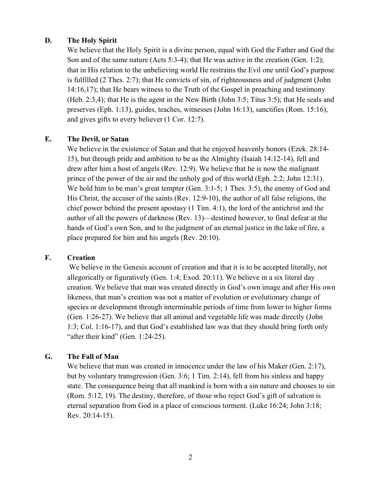## D. The Holy Spirit

We believe that the Holy Spirit is a divine person, equal with God the Father and God the Son and of the same nature (Acts 5:3-4); that He was active in the creation (Gen. 1:2); that in His relation to the unbelieving world He restrains the Evil one until God's purpose is fulfilled (2 Thes. 2:7); that He convicts of sin, of righteousness and of judgment (John 14:16,17); that He bears witness to the Truth of the Gospel in preaching and testimony (Heb. 2:3,4); that He is the agent in the New Birth (John 3:5; Titus 3:5); that He seals and preserves (Eph. 1:13), guides, teaches, witnesses (John 16:13), sanctifies (Rom. 15:16), and gives gifts to every believer (1 Cor. 12:7).

#### E. The Devil, or Satan

We believe in the existence of Satan and that he enjoyed heavenly honors (Ezek. 28:14- 15), but through pride and ambition to be as the Almighty (Isaiah 14:12-14), fell and drew after him a host of angels (Rev. 12:9). We believe that he is now the malignant prince of the power of the air and the unholy god of this world (Eph. 2:2; John 12:31). We hold him to be man's great tempter (Gen. 3:1-5; 1 Thes. 3:5), the enemy of God and His Christ, the accuser of the saints (Rev. 12:9-10), the author of all false religions, the chief power behind the present apostasy (1 Tim. 4:1), the lord of the antichrist and the author of all the powers of darkness (Rev. 13)—destined however, to final defeat at the hands of God's own Son, and to the judgment of an eternal justice in the lake of fire, a place prepared for him and his angels (Rev. 20:10).

#### F. Creation

We believe in the Genesis account of creation and that it is to be accepted literally, not allegorically or figuratively (Gen. 1:4; Exod. 20:11). We believe in a six literal day creation. We believe that man was created directly in God's own image and after His own likeness, that man's creation was not a matter of evolution or evolutionary change of species or development through interminable periods of time from lower to higher forms (Gen. 1:26-27). We believe that all animal and vegetable life was made directly (John 1:3; Col. 1:16-17), and that God's established law was that they should bring forth only "after their kind" (Gen. 1:24-25).

## G. The Fall of Man

We believe that man was created in innocence under the law of his Maker (Gen. 2:17), but by voluntary transgression (Gen. 3:6; 1 Tim. 2:14), fell from his sinless and happy state. The consequence being that all mankind is born with a sin nature and chooses to sin (Rom. 5:12, 19). The destiny, therefore, of those who reject God's gift of salvation is eternal separation from God in a place of conscious torment. (Luke 16:24; John 3:18; Rev. 20:14-15).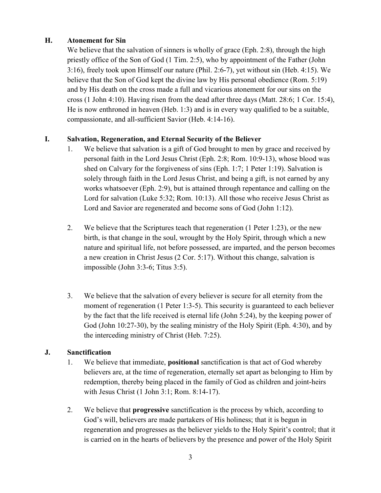# H. Atonement for Sin

We believe that the salvation of sinners is wholly of grace (Eph. 2:8), through the high priestly office of the Son of God (1 Tim. 2:5), who by appointment of the Father (John 3:16), freely took upon Himself our nature (Phil. 2:6-7), yet without sin (Heb. 4:15). We believe that the Son of God kept the divine law by His personal obedience (Rom. 5:19) and by His death on the cross made a full and vicarious atonement for our sins on the cross (1 John 4:10). Having risen from the dead after three days (Matt. 28:6; 1 Cor. 15:4), He is now enthroned in heaven (Heb. 1:3) and is in every way qualified to be a suitable, compassionate, and all-sufficient Savior (Heb. 4:14-16).

# I. Salvation, Regeneration, and Eternal Security of the Believer

- 1. We believe that salvation is a gift of God brought to men by grace and received by personal faith in the Lord Jesus Christ (Eph. 2:8; Rom. 10:9-13), whose blood was shed on Calvary for the forgiveness of sins (Eph. 1:7; 1 Peter 1:19). Salvation is solely through faith in the Lord Jesus Christ, and being a gift, is not earned by any works whatsoever (Eph. 2:9), but is attained through repentance and calling on the Lord for salvation (Luke 5:32; Rom. 10:13). All those who receive Jesus Christ as Lord and Savior are regenerated and become sons of God (John 1:12).
- 2. We believe that the Scriptures teach that regeneration (1 Peter 1:23), or the new birth, is that change in the soul, wrought by the Holy Spirit, through which a new nature and spiritual life, not before possessed, are imparted, and the person becomes a new creation in Christ Jesus (2 Cor. 5:17). Without this change, salvation is impossible (John 3:3-6; Titus 3:5).
- 3. We believe that the salvation of every believer is secure for all eternity from the moment of regeneration (1 Peter 1:3-5). This security is guaranteed to each believer by the fact that the life received is eternal life (John 5:24), by the keeping power of God (John 10:27-30), by the sealing ministry of the Holy Spirit (Eph. 4:30), and by the interceding ministry of Christ (Heb. 7:25).

## J. Sanctification

- 1. We believe that immediate, positional sanctification is that act of God whereby believers are, at the time of regeneration, eternally set apart as belonging to Him by redemption, thereby being placed in the family of God as children and joint-heirs with Jesus Christ (1 John 3:1; Rom. 8:14-17).
- 2. We believe that progressive sanctification is the process by which, according to God's will, believers are made partakers of His holiness; that it is begun in regeneration and progresses as the believer yields to the Holy Spirit's control; that it is carried on in the hearts of believers by the presence and power of the Holy Spirit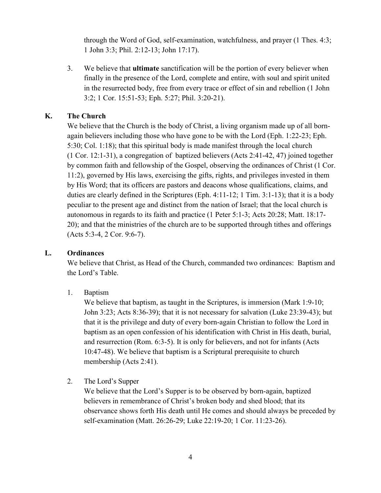through the Word of God, self-examination, watchfulness, and prayer (1 Thes. 4:3; 1 John 3:3; Phil. 2:12-13; John 17:17).

3. We believe that ultimate sanctification will be the portion of every believer when finally in the presence of the Lord, complete and entire, with soul and spirit united in the resurrected body, free from every trace or effect of sin and rebellion (1 John 3:2; 1 Cor. 15:51-53; Eph. 5:27; Phil. 3:20-21).

## K. The Church

We believe that the Church is the body of Christ, a living organism made up of all bornagain believers including those who have gone to be with the Lord (Eph. 1:22-23; Eph. 5:30; Col. 1:18); that this spiritual body is made manifest through the local church (1 Cor. 12:1-31), a congregation of baptized believers (Acts 2:41-42, 47) joined together by common faith and fellowship of the Gospel, observing the ordinances of Christ (1 Cor. 11:2), governed by His laws, exercising the gifts, rights, and privileges invested in them by His Word; that its officers are pastors and deacons whose qualifications, claims, and duties are clearly defined in the Scriptures (Eph. 4:11-12; 1 Tim. 3:1-13); that it is a body peculiar to the present age and distinct from the nation of Israel; that the local church is autonomous in regards to its faith and practice (1 Peter 5:1-3; Acts 20:28; Matt. 18:17- 20); and that the ministries of the church are to be supported through tithes and offerings (Acts 5:3-4, 2 Cor. 9:6-7).

#### L. Ordinances

We believe that Christ, as Head of the Church, commanded two ordinances: Baptism and the Lord's Table.

1. Baptism

We believe that baptism, as taught in the Scriptures, is immersion (Mark 1:9-10; John 3:23; Acts 8:36-39); that it is not necessary for salvation (Luke 23:39-43); but that it is the privilege and duty of every born-again Christian to follow the Lord in baptism as an open confession of his identification with Christ in His death, burial, and resurrection (Rom. 6:3-5). It is only for believers, and not for infants (Acts 10:47-48). We believe that baptism is a Scriptural prerequisite to church membership (Acts 2:41).

2. The Lord's Supper

We believe that the Lord's Supper is to be observed by born-again, baptized believers in remembrance of Christ's broken body and shed blood; that its observance shows forth His death until He comes and should always be preceded by self-examination (Matt. 26:26-29; Luke 22:19-20; 1 Cor. 11:23-26).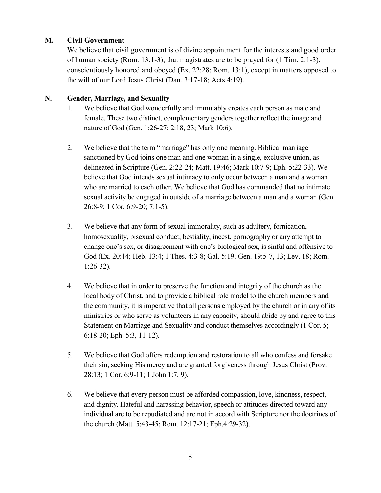# M. Civil Government

We believe that civil government is of divine appointment for the interests and good order of human society (Rom. 13:1-3); that magistrates are to be prayed for (1 Tim. 2:1-3), conscientiously honored and obeyed (Ex. 22:28; Rom. 13:1), except in matters opposed to the will of our Lord Jesus Christ (Dan. 3:17-18; Acts 4:19).

# N. Gender, Marriage, and Sexuality

- 1. We believe that God wonderfully and immutably creates each person as male and female. These two distinct, complementary genders together reflect the image and nature of God (Gen. 1:26-27; 2:18, 23; Mark 10:6).
- 2. We believe that the term "marriage" has only one meaning. Biblical marriage sanctioned by God joins one man and one woman in a single, exclusive union, as delineated in Scripture (Gen. 2:22-24; Matt. 19:46; Mark 10:7-9; Eph. 5:22-33). We believe that God intends sexual intimacy to only occur between a man and a woman who are married to each other. We believe that God has commanded that no intimate sexual activity be engaged in outside of a marriage between a man and a woman (Gen. 26:8-9; 1 Cor. 6:9-20; 7:1-5).
- 3. We believe that any form of sexual immorality, such as adultery, fornication, homosexuality, bisexual conduct, bestiality, incest, pornography or any attempt to change one's sex, or disagreement with one's biological sex, is sinful and offensive to God (Ex. 20:14; Heb. 13:4; 1 Thes. 4:3-8; Gal. 5:19; Gen. 19:5-7, 13; Lev. 18; Rom. 1:26-32).
- 4. We believe that in order to preserve the function and integrity of the church as the local body of Christ, and to provide a biblical role model to the church members and the community, it is imperative that all persons employed by the church or in any of its ministries or who serve as volunteers in any capacity, should abide by and agree to this Statement on Marriage and Sexuality and conduct themselves accordingly (1 Cor. 5; 6:18-20; Eph. 5:3, 11-12).
- 5. We believe that God offers redemption and restoration to all who confess and forsake their sin, seeking His mercy and are granted forgiveness through Jesus Christ (Prov. 28:13; 1 Cor. 6:9-11; 1 John 1:7, 9).
- 6. We believe that every person must be afforded compassion, love, kindness, respect, and dignity. Hateful and harassing behavior, speech or attitudes directed toward any individual are to be repudiated and are not in accord with Scripture nor the doctrines of the church (Matt. 5:43-45; Rom. 12:17-21; Eph.4:29-32).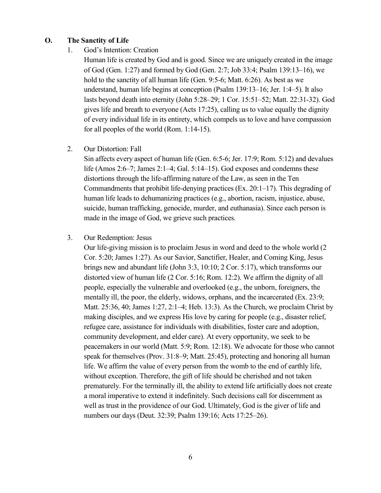#### O. The Sanctity of Life

1. God's Intention: Creation

Human life is created by God and is good. Since we are uniquely created in the image of God (Gen. 1:27) and formed by God (Gen. 2:7; Job 33:4; Psalm 139:13–16), we hold to the sanctity of all human life (Gen. 9:5-6; Matt. 6:26). As best as we understand, human life begins at conception (Psalm 139:13–16; Jer. 1:4–5). It also lasts beyond death into eternity (John 5:28–29; 1 Cor. 15:51–52; Matt. 22:31-32). God gives life and breath to everyone (Acts 17:25), calling us to value equally the dignity of every individual life in its entirety, which compels us to love and have compassion for all peoples of the world (Rom. 1:14-15).

2. Our Distortion: Fall

Sin affects every aspect of human life (Gen. 6:5-6; Jer. 17:9; Rom. 5:12) and devalues life (Amos 2:6–7; James 2:1–4; Gal. 5:14–15). God exposes and condemns these distortions through the life-affirming nature of the Law, as seen in the Ten Commandments that prohibit life-denying practices (Ex. 20:1–17). This degrading of human life leads to dehumanizing practices (e.g., abortion, racism, injustice, abuse, suicide, human trafficking, genocide, murder, and euthanasia). Since each person is made in the image of God, we grieve such practices.

3. Our Redemption: Jesus

Our life-giving mission is to proclaim Jesus in word and deed to the whole world (2 Cor. 5:20; James 1:27). As our Savior, Sanctifier, Healer, and Coming King, Jesus brings new and abundant life (John 3:3, 10:10; 2 Cor. 5:17), which transforms our distorted view of human life (2 Cor. 5:16; Rom. 12:2). We affirm the dignity of all people, especially the vulnerable and overlooked (e.g., the unborn, foreigners, the mentally ill, the poor, the elderly, widows, orphans, and the incarcerated (Ex. 23:9; Matt. 25:36, 40; James 1:27, 2:1–4; Heb. 13:3). As the Church, we proclaim Christ by making disciples, and we express His love by caring for people (e.g., disaster relief, refugee care, assistance for individuals with disabilities, foster care and adoption, community development, and elder care). At every opportunity, we seek to be peacemakers in our world (Matt. 5:9; Rom. 12:18). We advocate for those who cannot speak for themselves (Prov. 31:8–9; Matt. 25:45), protecting and honoring all human life. We affirm the value of every person from the womb to the end of earthly life, without exception. Therefore, the gift of life should be cherished and not taken prematurely. For the terminally ill, the ability to extend life artificially does not create a moral imperative to extend it indefinitely. Such decisions call for discernment as well as trust in the providence of our God. Ultimately, God is the giver of life and numbers our days (Deut. 32:39; Psalm 139:16; Acts 17:25–26).